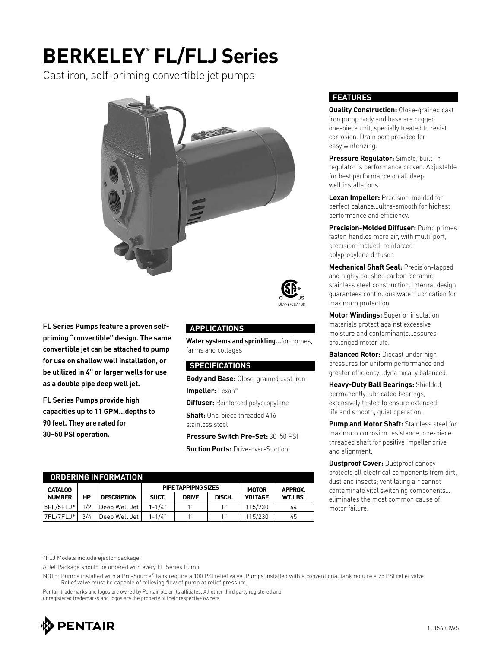### **BERKELEY® FL/FLJ Series**

Cast iron, self-priming convertible jet pumps



UL778/CSA108

**FL Series Pumps feature a proven selfpriming "convertible" design. The same convertible jet can be attached to pump for use on shallow well installation, or be utilized in 4" or larger wells for use as a double pipe deep well jet.**

**FL Series Pumps provide high capacities up to 11 GPM…depths to 90 feet. They are rated for 30–50 PSI operation.**

### **APPLICATIONS**

**Water systems and sprinkling…**for homes, farms and cottages

#### **SPECIFICATIONS**

**Body and Base:** Close-grained cast iron

**Impeller:** Lexan®

**Diffuser:** Reinforced polypropylene

**Shaft:** One-piece threaded 416 stainless steel

**Pressure Switch Pre-Set:** 30–50 PSI

**Suction Ports:** Drive-over-Suction

| ORDERING INFORMATION |     |                    |            |              |        |                |         |  |  |  |  |
|----------------------|-----|--------------------|------------|--------------|--------|----------------|---------|--|--|--|--|
| <b>CATALOG</b>       |     | <b>MOTOR</b>       | APPROX.    |              |        |                |         |  |  |  |  |
| <b>NUMBER</b>        | HP  | <b>DESCRIPTION</b> | SUCT.      | <b>DRIVE</b> | DISCH. | <b>VOLTAGE</b> | WT.LBS. |  |  |  |  |
| 5FL/5FLJ*            | 1/2 | Deep Well Jet      | $1 - 1/4"$ | 1 "          | 1"     | 115/230        | 44      |  |  |  |  |
| 7FL/7FLJ*            | 3/4 | Deep Well Jet      | $1 - 1/4"$ | 1 "          | 1 "    | 115/230        | 45      |  |  |  |  |

#### **FEATURES**

**Quality Construction:** Close-grained cast iron pump body and base are rugged one-piece unit, specially treated to resist corrosion. Drain port provided for easy winterizing.

**Pressure Regulator:** Simple, built-in regulator is performance proven. Adjustable for best performance on all deep well installations.

**Lexan Impeller:** Precision-molded for perfect balance…ultra-smooth for highest performance and efficiency.

**Precision-Molded Diffuser:** Pump primes faster, handles more air, with multi-port, precision-molded, reinforced polypropylene diffuser.

**Mechanical Shaft Seal:** Precision-lapped and highly polished carbon-ceramic, stainless steel construction. Internal design guarantees continuous water lubrication for maximum protection.

**Motor Windings:** Superior insulation materials protect against excessive moisture and contaminants…assures prolonged motor life.

**Balanced Rotor:** Diecast under high pressures for uniform performance and greater efficiency…dynamically balanced.

**Heavy-Duty Ball Bearings:** Shielded, permanently lubricated bearings, extensively tested to ensure extended life and smooth, quiet operation.

**Pump and Motor Shaft:** Stainless steel for maximum corrosion resistance; one-piece threaded shaft for positive impeller drive and alignment.

**Dustproof Cover: Dustproof canopy** protects all electrical components from dirt, dust and insects; ventilating air cannot contaminate vital switching components… eliminates the most common cause of motor failure.

\*FLJ Models include ejector package.

A Jet Package should be ordered with every FL Series Pump.

NOTE: Pumps installed with a Pro-Source® tank require a 100 PSI relief valve. Pumps installed with a conventional tank require a 75 PSI relief valve. Relief valve must be capable of relieving flow of pump at relief pressure.

Pentair trademarks and logos are owned by Pentair plc or its affiliates. All other third party registered and unregistered trademarks and logos are the property of their respective owners.

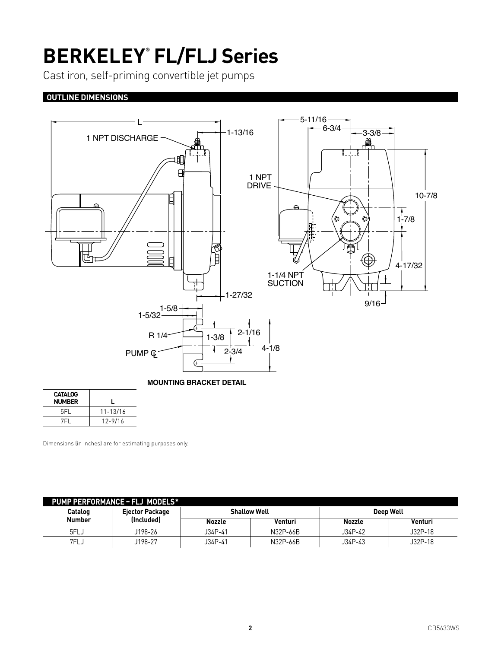## **BERKELEY® FL/FLJ Series**

Cast iron, self-priming convertible jet pumps

### **OUTLINE DIMENSIONS**



| <b>CATALOG</b><br><b>NUMBER</b> |              |
|---------------------------------|--------------|
| 5FI.                            | $11 - 13/16$ |
| 7FL                             | $12 - 9/16$  |

Dimensions (in inches) are for estimating purposes only.

| PUMP PERFORMANCE - FLJ MODELS* |                        |               |                     |           |         |  |  |  |  |  |  |  |
|--------------------------------|------------------------|---------------|---------------------|-----------|---------|--|--|--|--|--|--|--|
| Catalog                        | <b>Ejector Package</b> |               | <b>Shallow Well</b> | Deep Well |         |  |  |  |  |  |  |  |
| <b>Number</b>                  | (Included)             | <b>Nozzle</b> | Venturi             | Nozzle    | Venturi |  |  |  |  |  |  |  |
| 5FLJ                           | J198-26                | J34P-41       | N32P-66B            | J34P-42   | J32P-18 |  |  |  |  |  |  |  |
| 7FLJ                           | J198-27                | J34P-41       | N32P-66B            | J34P-43   | J32P-18 |  |  |  |  |  |  |  |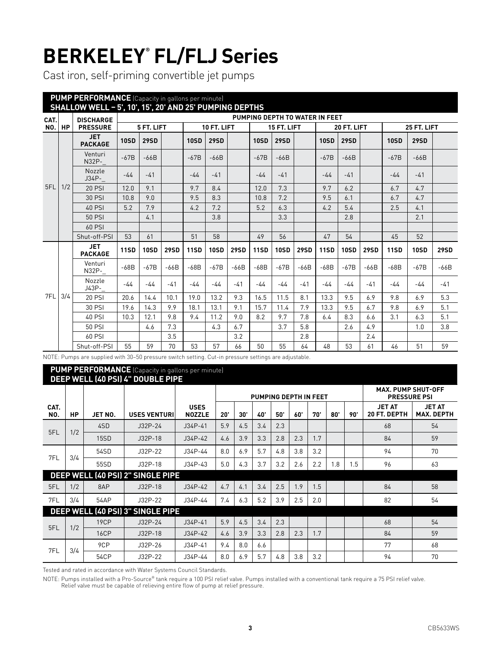# **BERKELEY® FL/FLJ Series**

Cast iron, self-priming convertible jet pumps

| <b>PUMP PERFORMANCE</b> (Capacity in gallons per minute)<br>SHALLOW WELL - 5', 10', 15', 20' AND 25' PUMPING DEPTHS |           |                              |             |             |             |             |             |             |             |                                |             |             |             |             |             |             |             |
|---------------------------------------------------------------------------------------------------------------------|-----------|------------------------------|-------------|-------------|-------------|-------------|-------------|-------------|-------------|--------------------------------|-------------|-------------|-------------|-------------|-------------|-------------|-------------|
| CAT.                                                                                                                |           | <b>DISCHARGE</b>             |             |             |             |             |             |             |             | PUMPING DEPTH TO WATER IN FEET |             |             |             |             |             |             |             |
| <b>NO.</b>                                                                                                          | <b>HP</b> | <b>PRESSURE</b>              |             | 5 FT. LIFT  |             | 10 FT. LIFT |             |             | 15 FT. LIFT |                                |             | 20 FT. LIFT |             |             | 25 FT. LIFT |             |             |
|                                                                                                                     |           | <b>JET</b><br><b>PACKAGE</b> | <b>10SD</b> | <b>29SD</b> |             | <b>10SD</b> | <b>29SD</b> |             | <b>10SD</b> | <b>29SD</b>                    |             | <b>10SD</b> | <b>29SD</b> |             | <b>10SD</b> | <b>29SD</b> |             |
|                                                                                                                     |           | Venturi<br>N32P-             | $-67B$      | $-66B$      |             | $-67B$      | $-66B$      |             | $-67B$      | $-66B$                         |             | $-67B$      | $-66B$      |             | $-67B$      | $-66B$      |             |
|                                                                                                                     |           | Nozzle<br>$J34P-$            | $-44$       | $-41$       |             | $-44$       | $-41$       |             | $-44$       | $-41$                          |             | $-44$       | $-41$       |             | $-44$       | $-41$       |             |
| 5FL                                                                                                                 | 1/2       | 20 PSI                       | 12.0        | 9 1         |             | 9.7         | 8.4         |             | 12.0        | 7.3                            |             | 9.7         | 6.2         |             | 6.7         | 4.7         |             |
|                                                                                                                     |           | 30 PSI                       | 10.8        | 9.0         |             | 9.5         | 8.3         |             | 10.8        | 7.2                            |             | 9.5         | 6.1         |             | 6.7         | 4.7         |             |
|                                                                                                                     |           | 40 PSI                       | 5.2         | 7.9         |             | 4.2         | 7.2         |             | 5.2         | 6.3                            |             | 4.2         | 5.4         |             | 2.5         | 4.1         |             |
|                                                                                                                     |           | 50 PSI                       |             | 4.1         |             |             | 3.8         |             |             | 3.3                            |             |             | 2.8         |             |             | 2.1         |             |
|                                                                                                                     |           | 60 PSI                       |             |             |             |             |             |             |             |                                |             |             |             |             |             |             |             |
|                                                                                                                     |           | Shut-off-PSI                 | 53          | 61          |             | 51          | 58          |             | 49          | 56                             |             | 47          | 54          |             | 45          | 52          |             |
|                                                                                                                     |           | <b>JET</b><br><b>PACKAGE</b> | <b>11SD</b> | <b>10SD</b> | <b>29SD</b> | <b>11SD</b> | <b>10SD</b> | <b>29SD</b> | <b>11SD</b> | <b>10SD</b>                    | <b>29SD</b> | <b>11SD</b> | <b>10SD</b> | <b>29SD</b> | <b>11SD</b> | <b>10SD</b> | <b>29SD</b> |
|                                                                                                                     |           | Venturi<br>N32P-             | $-68B$      | $-67B$      | $-66B$      | $-68B$      | $-67B$      | $-66B$      | $-68B$      | $-67B$                         | $-66B$      | $-68B$      | $-67B$      | $-66B$      | $-68B$      | $-67B$      | $-66B$      |
|                                                                                                                     |           | Nozzle<br>J43P-              | $-44$       | $-44$       | $-41$       | $-44$       | $-44$       | $-41$       | -44         | $-44$                          | $-41$       | -44         | -44         | $-41$       | $-44$       | -44         | $-41$       |
| 7FL                                                                                                                 | 3/4       | <b>20 PSI</b>                | 20.6        | 14.4        | 10.1        | 19.0        | 13.2        | 9.3         | 16.5        | 11.5                           | 8.1         | 13.3        | 9.5         | 6.9         | 9.8         | 6.9         | 5.3         |
|                                                                                                                     |           | 30 PSI                       | 19.6        | 14.3        | 9.9         | 18.1        | 13.1        | 9.1         | 15.7        | 11.4                           | 7.9         | 13.3        | 9.5         | 6.7         | 9.8         | 6.9         | 5.1         |
|                                                                                                                     |           | 40 PSI                       | 10.3        | 12.1        | 9.8         | 9.4         | 11.2        | 9.0         | 8.2         | 9.7                            | 7.8         | 6.4         | 8.3         | 6.6         | 3.1         | 6.3         | 5.1         |
|                                                                                                                     |           | 50 PSI                       |             | 4.6         | 7.3         |             | 4.3         | 6.7         |             | 3.7                            | 5.8         |             | 2.6         | 4.9         |             | 1.0         | 3.8         |
|                                                                                                                     |           | 60 PSI                       |             |             | 3.5         |             |             | 3.2         |             |                                | 2.8         |             |             | 2.4         |             |             |             |
|                                                                                                                     |           | Shut-off-PSI                 | 55          | 59          | 70          | 53          | 57          | 66          | 50          | 55                             | 64          | 48          | 53          | 61          | 46          | 51          | 59          |

NOTE: Pumps are supplied with 30–50 pressure switch setting. Cut-in pressure settings are adjustable.

#### **PUMP PERFORMANCE** (Capacity in gallons per minute) **DEEP WELL (40 PSI) 4" DOUBLE PIPE**

|             |           |             | <u>DEE: WEEF(401 91) 4 DOODEE: II E</u> |                              |              |     | PUMPING DEPTH IN FEET |     | <b>MAX. PUMP SHUT-OFF</b><br><b>PRESSURE PSI</b> |     |     |     |                               |                                    |
|-------------|-----------|-------------|-----------------------------------------|------------------------------|--------------|-----|-----------------------|-----|--------------------------------------------------|-----|-----|-----|-------------------------------|------------------------------------|
| CAT.<br>NO. | <b>HP</b> | JET NO.     | <b>USES VENTURI</b>                     | <b>USES</b><br><b>NOZZLE</b> | $20^{\circ}$ | 30' | 40'                   | 50' | 60'                                              | 70' | 80' | 90' | <b>JET AT</b><br>20 FT. DEPTH | <b>JET AT</b><br><b>MAX. DEPTH</b> |
| 5FL         | 1/2       | 4SD         | $J32P-24$                               | $J34P-41$                    | 5.9          | 4.5 | 3.4                   | 2.3 |                                                  |     |     |     | 68                            | 54                                 |
|             |           | 15SD        | $J32P-18$                               | $J34P-42$                    | 4.6          | 3.9 | 3.3                   | 2.8 | 2.3                                              | 1.7 |     |     | 84                            | 59                                 |
| 7FL         | 3/4       | 54SD        | $J32P-22$                               | $J34P-44$                    | 8.0          | 6.9 | 5.7                   | 4.8 | 3.8                                              | 3.2 |     |     | 94                            | 70                                 |
|             |           | 55SD        | $J32P-18$                               | $J34P-43$                    | 5.0          | 4.3 | 3.7                   | 3.2 | 2.6                                              | 2.2 | 1.8 | 1.5 | 96                            | 63                                 |
|             |           |             | DEEP WELL (40 PSI) 2" SINGLE PIPE       |                              |              |     |                       |     |                                                  |     |     |     |                               |                                    |
| 5FL         | 1/2       | 8AP         | $J32P-18$                               | $J34P-42$                    | 4.7          | 4.1 | 3.4                   | 2.5 | 1.9                                              | 1.5 |     |     | 84                            | 58                                 |
| 7FL         | 3/4       | 54AP        | J32P-22                                 | $J34P-44$                    | 7.4          | 6.3 | 5.2                   | 3.9 | 2.5                                              | 2.0 |     |     | 82                            | 54                                 |
|             |           |             | DEEP WELL (40 PSI) 3" SINGLE PIPE       |                              |              |     |                       |     |                                                  |     |     |     |                               |                                    |
| 5FL         | 1/2       | 19CP        | $J32P-24$                               | $J34P-41$                    | 5.9          | 4.5 | 3.4                   | 2.3 |                                                  |     |     |     | 68                            | 54                                 |
|             |           | <b>16CP</b> | $J32P-18$                               | $J34P-42$                    | 4.6          | 3.9 | 3.3                   | 2.8 | 2.3                                              | 1.7 |     |     | 84                            | 59                                 |
| 7FL         | 3/4       | 9CP         | J32P-26                                 | $J34P-41$                    | 9.4          | 8.0 | 6.6                   |     |                                                  |     |     |     | 77                            | 68                                 |
|             |           | 54CP        | $J32P-22$                               | $J34P-44$                    | 8.0          | 6.9 | 5.7                   | 4.8 | 3.8                                              | 3.2 |     |     | 94                            | 70                                 |

Tested and rated in accordance with Water Systems Council Standards.

NOTE: Pumps installed with a Pro-Source® tank require a 100 PSI relief valve. Pumps installed with a conventional tank require a 75 PSI relief valve.

Relief valve must be capable of relieving entire flow of pump at relief pressure.